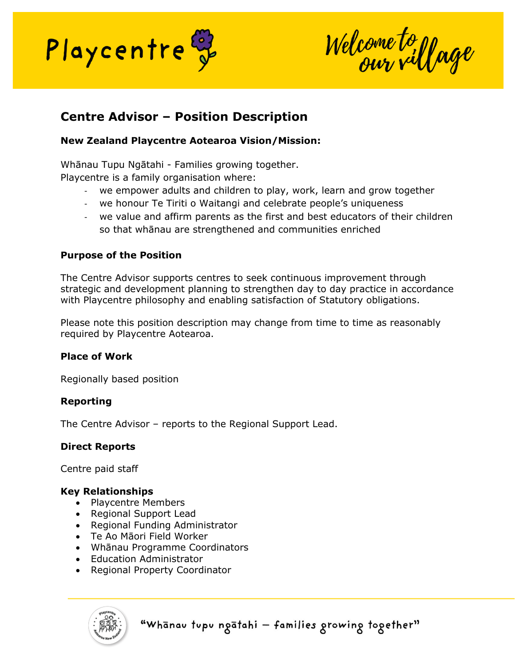

Welcome to youge

# **Centre Advisor – Position Description**

## **New Zealand Playcentre Aotearoa Vision/Mission:**

Whānau Tupu Ngātahi - Families growing together. Playcentre is a family organisation where:

- we empower adults and children to play, work, learn and grow together
- we honour Te Tiriti o Waitangi and celebrate people's uniqueness
- we value and affirm parents as the first and best educators of their children so that whānau are strengthened and communities enriched

### **Purpose of the Position**

The Centre Advisor supports centres to seek continuous improvement through strategic and development planning to strengthen day to day practice in accordance with Playcentre philosophy and enabling satisfaction of Statutory obligations.

Please note this position description may change from time to time as reasonably required by Playcentre Aotearoa.

### **Place of Work**

Regionally based position

### **Reporting**

The Centre Advisor – reports to the Regional Support Lead.

### **Direct Reports**

Centre paid staff

### **Key Relationships**

- Playcentre Members
- Regional Support Lead
- Regional Funding Administrator
- Te Ao Māori Field Worker
- Whānau Programme Coordinators
- Education Administrator
- Regional Property Coordinator

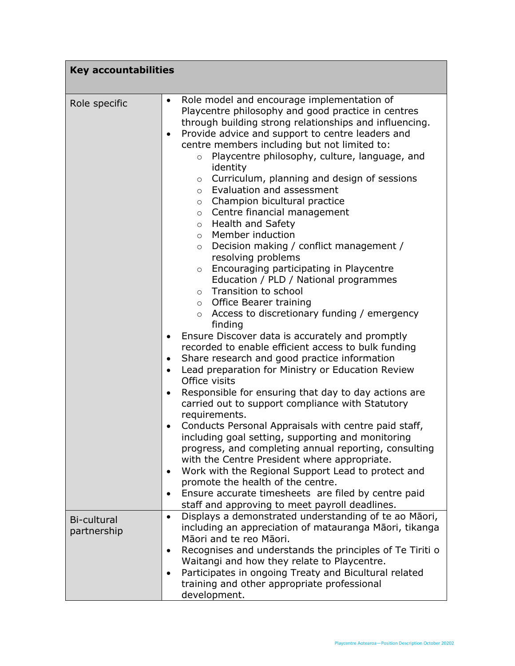| <b>Key accountabilities</b> |                                                                                                                                                                                                                                                                                                                                                                                                                                                                                                                                                                                                                                                                                                                                                                                                                                                                                                                                                                                                                                                                                                                                                                                                                                                                                                                                                                                                                                                                                                                                                                                                                                                                                                                                                                                          |
|-----------------------------|------------------------------------------------------------------------------------------------------------------------------------------------------------------------------------------------------------------------------------------------------------------------------------------------------------------------------------------------------------------------------------------------------------------------------------------------------------------------------------------------------------------------------------------------------------------------------------------------------------------------------------------------------------------------------------------------------------------------------------------------------------------------------------------------------------------------------------------------------------------------------------------------------------------------------------------------------------------------------------------------------------------------------------------------------------------------------------------------------------------------------------------------------------------------------------------------------------------------------------------------------------------------------------------------------------------------------------------------------------------------------------------------------------------------------------------------------------------------------------------------------------------------------------------------------------------------------------------------------------------------------------------------------------------------------------------------------------------------------------------------------------------------------------------|
| Role specific               | Role model and encourage implementation of<br>$\bullet$<br>Playcentre philosophy and good practice in centres<br>through building strong relationships and influencing.<br>Provide advice and support to centre leaders and<br>$\bullet$<br>centre members including but not limited to:<br>Playcentre philosophy, culture, language, and<br>$\circ$<br>identity<br>Curriculum, planning and design of sessions<br>$\circ$<br>Evaluation and assessment<br>$\circ$<br>Champion bicultural practice<br>$\circ$<br>Centre financial management<br>$\circ$<br><b>Health and Safety</b><br>$\circ$<br>Member induction<br>$\circ$<br>Decision making / conflict management /<br>$\circ$<br>resolving problems<br>Encouraging participating in Playcentre<br>$\circ$<br>Education / PLD / National programmes<br>Transition to school<br>$\circ$<br>Office Bearer training<br>$\circ$<br>Access to discretionary funding / emergency<br>$\circ$<br>finding<br>Ensure Discover data is accurately and promptly<br>$\bullet$<br>recorded to enable efficient access to bulk funding<br>Share research and good practice information<br>$\bullet$<br>Lead preparation for Ministry or Education Review<br>Office visits<br>Responsible for ensuring that day to day actions are<br>$\bullet$<br>carried out to support compliance with Statutory<br>requirements.<br>Conducts Personal Appraisals with centre paid staff,<br>including goal setting, supporting and monitoring<br>progress, and completing annual reporting, consulting<br>with the Centre President where appropriate.<br>Work with the Regional Support Lead to protect and<br>٠<br>promote the health of the centre.<br>Ensure accurate timesheets are filed by centre paid<br>staff and approving to meet payroll deadlines. |
| Bi-cultural<br>partnership  | Displays a demonstrated understanding of te ao Māori,<br>$\bullet$<br>including an appreciation of matauranga Māori, tikanga<br>Māori and te reo Māori.<br>Recognises and understands the principles of Te Tiriti o<br>$\bullet$<br>Waitangi and how they relate to Playcentre.<br>Participates in ongoing Treaty and Bicultural related<br>$\bullet$<br>training and other appropriate professional<br>development.                                                                                                                                                                                                                                                                                                                                                                                                                                                                                                                                                                                                                                                                                                                                                                                                                                                                                                                                                                                                                                                                                                                                                                                                                                                                                                                                                                     |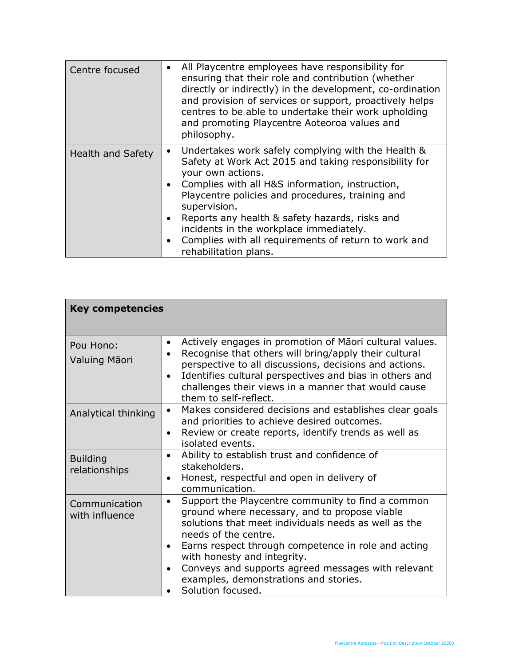| Centre focused           | All Playcentre employees have responsibility for<br>$\bullet$<br>ensuring that their role and contribution (whether<br>directly or indirectly) in the development, co-ordination<br>and provision of services or support, proactively helps<br>centres to be able to undertake their work upholding<br>and promoting Playcentre Aoteoroa values and<br>philosophy.                                                                                                                        |
|--------------------------|-------------------------------------------------------------------------------------------------------------------------------------------------------------------------------------------------------------------------------------------------------------------------------------------------------------------------------------------------------------------------------------------------------------------------------------------------------------------------------------------|
| <b>Health and Safety</b> | Undertakes work safely complying with the Health &<br>$\bullet$<br>Safety at Work Act 2015 and taking responsibility for<br>your own actions.<br>Complies with all H&S information, instruction,<br>$\bullet$<br>Playcentre policies and procedures, training and<br>supervision.<br>Reports any health & safety hazards, risks and<br>$\bullet$<br>incidents in the workplace immediately.<br>Complies with all requirements of return to work and<br>$\bullet$<br>rehabilitation plans. |

| <b>Key competencies</b>          |                                                                                                                                                                                                                                                                                                                                                                                                                                     |  |
|----------------------------------|-------------------------------------------------------------------------------------------------------------------------------------------------------------------------------------------------------------------------------------------------------------------------------------------------------------------------------------------------------------------------------------------------------------------------------------|--|
| Pou Hono:<br>Valuing Māori       | Actively engages in promotion of Māori cultural values.<br>$\bullet$<br>Recognise that others will bring/apply their cultural<br>$\bullet$<br>perspective to all discussions, decisions and actions.<br>Identifies cultural perspectives and bias in others and<br>$\bullet$<br>challenges their views in a manner that would cause<br>them to self-reflect.                                                                        |  |
| Analytical thinking              | Makes considered decisions and establishes clear goals<br>$\bullet$<br>and priorities to achieve desired outcomes.<br>Review or create reports, identify trends as well as<br>$\bullet$<br>isolated events.                                                                                                                                                                                                                         |  |
| <b>Building</b><br>relationships | Ability to establish trust and confidence of<br>$\bullet$<br>stakeholders.<br>Honest, respectful and open in delivery of<br>$\bullet$<br>communication.                                                                                                                                                                                                                                                                             |  |
| Communication<br>with influence  | Support the Playcentre community to find a common<br>$\bullet$<br>ground where necessary, and to propose viable<br>solutions that meet individuals needs as well as the<br>needs of the centre.<br>Earns respect through competence in role and acting<br>$\bullet$<br>with honesty and integrity.<br>Conveys and supports agreed messages with relevant<br>$\bullet$<br>examples, demonstrations and stories.<br>Solution focused. |  |